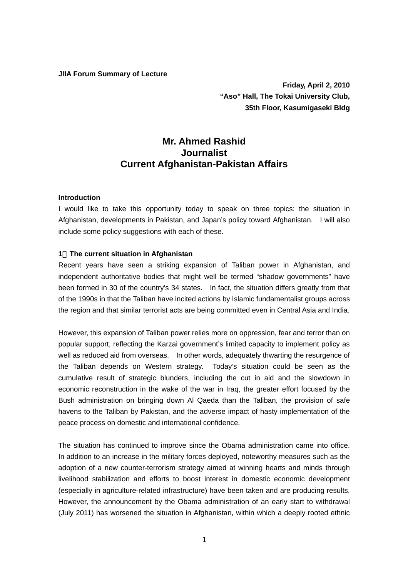#### **JIIA Forum Summary of Lecture**

 **Friday, April 2, 2010 "Aso" Hall, The Tokai University Club, 35th Floor, Kasumigaseki Bldg** 

# **Mr. Ahmed Rashid Journalist Current Afghanistan-Pakistan Affairs**

## **Introduction**

I would like to take this opportunity today to speak on three topics: the situation in Afghanistan, developments in Pakistan, and Japan's policy toward Afghanistan. I will also include some policy suggestions with each of these.

### **1**.**The current situation in Afghanistan**

Recent years have seen a striking expansion of Taliban power in Afghanistan, and independent authoritative bodies that might well be termed "shadow governments" have been formed in 30 of the country's 34 states. In fact, the situation differs greatly from that of the 1990s in that the Taliban have incited actions by Islamic fundamentalist groups across the region and that similar terrorist acts are being committed even in Central Asia and India.

However, this expansion of Taliban power relies more on oppression, fear and terror than on popular support, reflecting the Karzai government's limited capacity to implement policy as well as reduced aid from overseas. In other words, adequately thwarting the resurgence of the Taliban depends on Western strategy. Today's situation could be seen as the cumulative result of strategic blunders, including the cut in aid and the slowdown in economic reconstruction in the wake of the war in Iraq, the greater effort focused by the Bush administration on bringing down Al Qaeda than the Taliban, the provision of safe havens to the Taliban by Pakistan, and the adverse impact of hasty implementation of the peace process on domestic and international confidence.

The situation has continued to improve since the Obama administration came into office. In addition to an increase in the military forces deployed, noteworthy measures such as the adoption of a new counter-terrorism strategy aimed at winning hearts and minds through livelihood stabilization and efforts to boost interest in domestic economic development (especially in agriculture-related infrastructure) have been taken and are producing results. However, the announcement by the Obama administration of an early start to withdrawal (July 2011) has worsened the situation in Afghanistan, within which a deeply rooted ethnic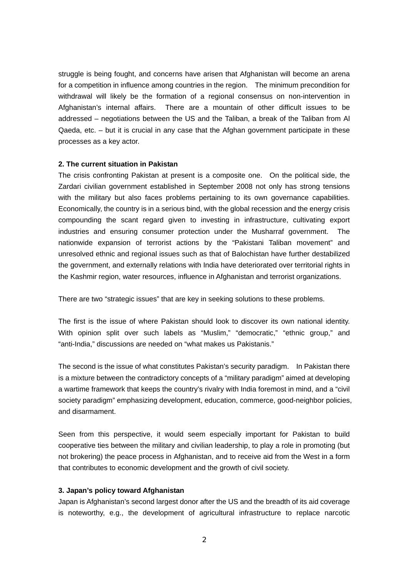struggle is being fought, and concerns have arisen that Afghanistan will become an arena for a competition in influence among countries in the region. The minimum precondition for withdrawal will likely be the formation of a regional consensus on non-intervention in Afghanistan's internal affairs. There are a mountain of other difficult issues to be addressed – negotiations between the US and the Taliban, a break of the Taliban from Al Qaeda, etc. – but it is crucial in any case that the Afghan government participate in these processes as a key actor.

### **2. The current situation in Pakistan**

The crisis confronting Pakistan at present is a composite one. On the political side, the Zardari civilian government established in September 2008 not only has strong tensions with the military but also faces problems pertaining to its own governance capabilities. Economically, the country is in a serious bind, with the global recession and the energy crisis compounding the scant regard given to investing in infrastructure, cultivating export industries and ensuring consumer protection under the Musharraf government. The nationwide expansion of terrorist actions by the "Pakistani Taliban movement" and unresolved ethnic and regional issues such as that of Balochistan have further destabilized the government, and externally relations with India have deteriorated over territorial rights in the Kashmir region, water resources, influence in Afghanistan and terrorist organizations.

There are two "strategic issues" that are key in seeking solutions to these problems.

The first is the issue of where Pakistan should look to discover its own national identity. With opinion split over such labels as "Muslim," "democratic," "ethnic group," and "anti-India," discussions are needed on "what makes us Pakistanis."

The second is the issue of what constitutes Pakistan's security paradigm. In Pakistan there is a mixture between the contradictory concepts of a "military paradigm" aimed at developing a wartime framework that keeps the country's rivalry with India foremost in mind, and a "civil society paradigm" emphasizing development, education, commerce, good-neighbor policies, and disarmament.

Seen from this perspective, it would seem especially important for Pakistan to build cooperative ties between the military and civilian leadership, to play a role in promoting (but not brokering) the peace process in Afghanistan, and to receive aid from the West in a form that contributes to economic development and the growth of civil society.

## **3. Japan's policy toward Afghanistan**

Japan is Afghanistan's second largest donor after the US and the breadth of its aid coverage is noteworthy, e.g., the development of agricultural infrastructure to replace narcotic